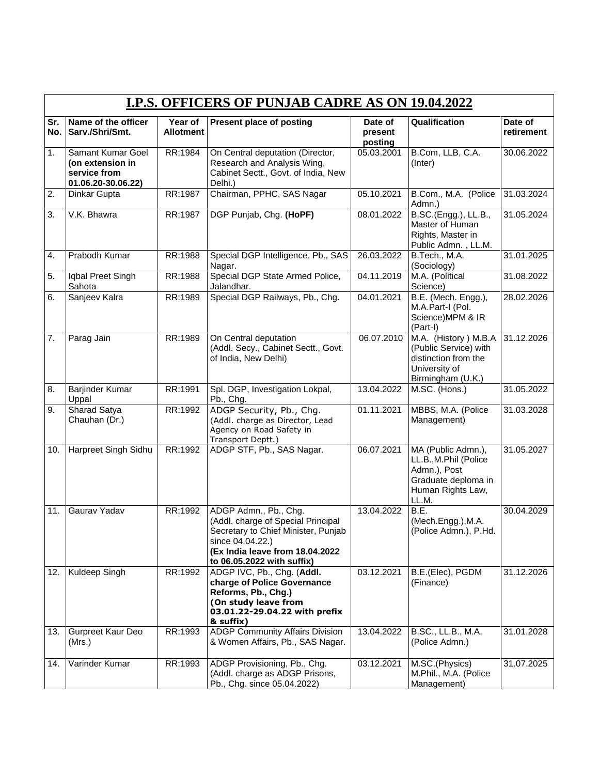|                  | <b>I.P.S. OFFICERS OF PUNJAB CADRE AS ON 19.04.2022</b>                     |                             |                                                                                                                                                                                         |                               |                                                                                                                  |                       |  |  |
|------------------|-----------------------------------------------------------------------------|-----------------------------|-----------------------------------------------------------------------------------------------------------------------------------------------------------------------------------------|-------------------------------|------------------------------------------------------------------------------------------------------------------|-----------------------|--|--|
| Sr.              | Name of the officer<br>No. Sarv./Shri/Smt.                                  | Year of<br><b>Allotment</b> | Present place of posting                                                                                                                                                                | Date of<br>present<br>posting | Qualification                                                                                                    | Date of<br>retirement |  |  |
| 1.               | Samant Kumar Goel<br>(on extension in<br>service from<br>01.06.20-30.06.22) | RR:1984                     | On Central deputation (Director,<br>Research and Analysis Wing,<br>Cabinet Sectt., Govt. of India, New<br>Delhi.)                                                                       | 05.03.2001                    | B.Com, LLB, C.A.<br>(Inter)                                                                                      | 30.06.2022            |  |  |
| 2.               | Dinkar Gupta                                                                | RR:1987                     | Chairman, PPHC, SAS Nagar                                                                                                                                                               | 05.10.2021                    | B.Com., M.A. (Police<br>Admn.)                                                                                   | 31.03.2024            |  |  |
| 3.               | V.K. Bhawra                                                                 | RR:1987                     | DGP Punjab, Chg. (HoPF)                                                                                                                                                                 | 08.01.2022                    | B.SC.(Engg.), LL.B.,<br>Master of Human<br>Rights, Master in<br>Public Admn., LL.M.                              | 31.05.2024            |  |  |
| $\overline{4}$ . | Prabodh Kumar                                                               | RR:1988                     | Special DGP Intelligence, Pb., SAS<br>Nagar.                                                                                                                                            | 26.03.2022                    | B.Tech., M.A.<br>(Sociology)                                                                                     | 31.01.2025            |  |  |
| 5.               | Iqbal Preet Singh<br>Sahota                                                 | RR:1988                     | Special DGP State Armed Police,<br>Jalandhar.                                                                                                                                           | 04.11.2019                    | M.A. (Political<br>Science)                                                                                      | 31.08.2022            |  |  |
| 6.               | Sanjeev Kalra                                                               | RR:1989                     | Special DGP Railways, Pb., Chg.                                                                                                                                                         | 04.01.2021                    | B.E. (Mech. Engg.),<br>M.A.Part-I (Pol.<br>Science)MPM & IR<br>(Part-I)                                          | 28.02.2026            |  |  |
| $\overline{7}$ . | Parag Jain                                                                  | RR:1989                     | On Central deputation<br>(Addl. Secy., Cabinet Sectt., Govt.<br>of India, New Delhi)                                                                                                    | 06.07.2010                    | M.A. (History) M.B.A<br>(Public Service) with<br>distinction from the<br>University of<br>Birmingham (U.K.)      | 31.12.2026            |  |  |
| 8.               | Barjinder Kumar<br>Uppal                                                    | RR:1991                     | Spl. DGP, Investigation Lokpal,<br>Pb., Chg.                                                                                                                                            | 13.04.2022                    | M.SC. (Hons.)                                                                                                    | 31.05.2022            |  |  |
| 9.               | Sharad Satya<br>Chauhan (Dr.)                                               | RR:1992                     | ADGP Security, Pb., Chg.<br>(Addl. charge as Director, Lead<br>Agency on Road Safety in<br>Transport Deptt.)                                                                            | 01.11.2021                    | MBBS, M.A. (Police<br>Management)                                                                                | 31.03.2028            |  |  |
| 10.              | Harpreet Singh Sidhu                                                        | RR:1992                     | ADGP STF, Pb., SAS Nagar.                                                                                                                                                               | 06.07.2021                    | MA (Public Admn.),<br>LL.B., M.Phil (Police<br>Admn.), Post<br>Graduate deploma in<br>Human Rights Law,<br>LL.M. | 31.05.2027            |  |  |
| 11.              | Gaurav Yadav                                                                | RR:1992                     | ADGP Admn., Pb., Chg.<br>(Addl. charge of Special Principal<br>Secretary to Chief Minister, Punjab<br>since 04.04.22.)<br>(Ex India leave from 18.04.2022<br>to 06.05.2022 with suffix) | 13.04.2022                    | B.E.<br>(Mech.Engg.), M.A.<br>(Police Admn.), P.Hd.                                                              | 30.04.2029            |  |  |
| 12.              | Kuldeep Singh                                                               | RR:1992                     | ADGP IVC, Pb., Chg. (Addl.<br>charge of Police Governance<br>Reforms, Pb., Chg.)<br>(On study leave from<br>03.01.22-29.04.22 with prefix<br>& suffix)                                  | 03.12.2021                    | B.E.(Elec), PGDM<br>(Finance)                                                                                    | 31.12.2026            |  |  |
| 13.              | Gurpreet Kaur Deo<br>(Mrs.)                                                 | RR:1993                     | <b>ADGP Community Affairs Division</b><br>& Women Affairs, Pb., SAS Nagar.                                                                                                              | 13.04.2022                    | B.SC., LL.B., M.A.<br>(Police Admn.)                                                                             | 31.01.2028            |  |  |
| 14.              | Varinder Kumar                                                              | RR:1993                     | ADGP Provisioning, Pb., Chg.<br>(Addl. charge as ADGP Prisons,<br>Pb., Chg. since 05.04.2022)                                                                                           | 03.12.2021                    | M.SC.(Physics)<br>M.Phil., M.A. (Police<br>Management)                                                           | 31.07.2025            |  |  |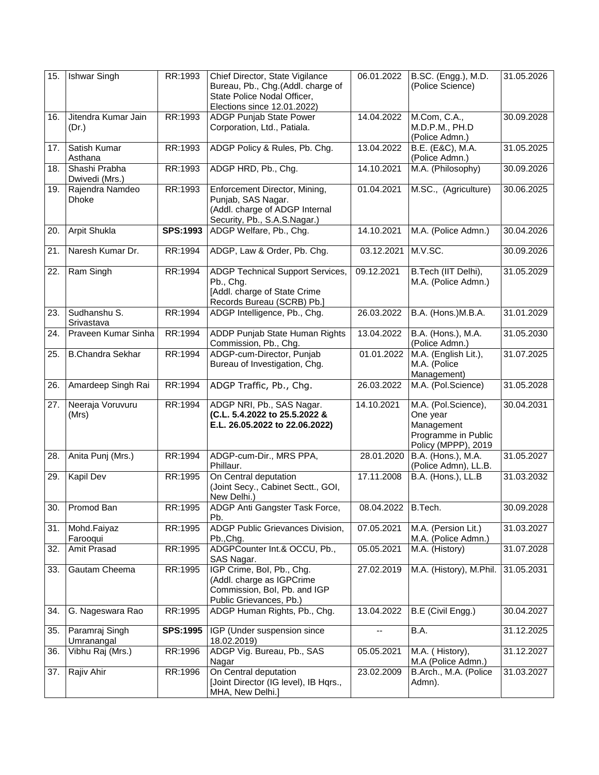| 15. | <b>Ishwar Singh</b>             | RR:1993         | Chief Director, State Vigilance<br>Bureau, Pb., Chg.(Addl. charge of<br>State Police Nodal Officer,<br>Elections since 12.01.2022) | 06.01.2022 | B.SC. (Engg.), M.D.<br>(Police Science)                                                     | 31.05.2026 |
|-----|---------------------------------|-----------------|------------------------------------------------------------------------------------------------------------------------------------|------------|---------------------------------------------------------------------------------------------|------------|
| 16. | Jitendra Kumar Jain<br>(Dr.)    | RR:1993         | <b>ADGP</b> Punjab State Power<br>Corporation, Ltd., Patiala.                                                                      | 14.04.2022 | M.Com, C.A.,<br>M.D.P.M., PH.D<br>(Police Admn.)                                            | 30.09.2028 |
| 17. | Satish Kumar<br>Asthana         | RR:1993         | ADGP Policy & Rules, Pb. Chg.                                                                                                      | 13.04.2022 | B.E. (E&C), M.A.<br>(Police Admn.)                                                          | 31.05.2025 |
| 18. | Shashi Prabha<br>Dwivedi (Mrs.) | RR:1993         | ADGP HRD, Pb., Chg.                                                                                                                | 14.10.2021 | M.A. (Philosophy)                                                                           | 30.09.2026 |
| 19. | Rajendra Namdeo<br><b>Dhoke</b> | RR:1993         | Enforcement Director, Mining,<br>Punjab, SAS Nagar.<br>(Addl. charge of ADGP Internal<br>Security, Pb., S.A.S.Nagar.)              | 01.04.2021 | M.SC., (Agriculture)                                                                        | 30.06.2025 |
| 20. | Arpit Shukla                    | <b>SPS:1993</b> | ADGP Welfare, Pb., Chg.                                                                                                            | 14.10.2021 | M.A. (Police Admn.)                                                                         | 30.04.2026 |
| 21. | Naresh Kumar Dr.                | RR:1994         | ADGP, Law & Order, Pb. Chg.                                                                                                        | 03.12.2021 | M.V.SC.                                                                                     | 30.09.2026 |
| 22. | Ram Singh                       | RR:1994         | ADGP Technical Support Services,<br>Pb., Chg.<br>[Addl. charge of State Crime<br>Records Bureau (SCRB) Pb.]                        | 09.12.2021 | B.Tech (IIT Delhi),<br>M.A. (Police Admn.)                                                  | 31.05.2029 |
| 23. | Sudhanshu S.<br>Srivastava      | RR:1994         | ADGP Intelligence, Pb., Chg.                                                                                                       | 26.03.2022 | B.A. (Hons.)M.B.A.                                                                          | 31.01.2029 |
| 24. | Praveen Kumar Sinha             | RR:1994         | ADDP Punjab State Human Rights<br>Commission, Pb., Chg.                                                                            | 13.04.2022 | B.A. (Hons.), M.A.<br>(Police Admn.)                                                        | 31.05.2030 |
| 25. | <b>B.Chandra Sekhar</b>         | RR:1994         | ADGP-cum-Director, Punjab<br>Bureau of Investigation, Chg.                                                                         | 01.01.2022 | M.A. (English Lit.),<br>M.A. (Police<br>Management)                                         | 31.07.2025 |
| 26. | Amardeep Singh Rai              | RR:1994         | ADGP Traffic, Pb., Chg.                                                                                                            | 26.03.2022 | M.A. (Pol.Science)                                                                          | 31.05.2028 |
| 27. | Neeraja Voruvuru<br>(Mrs)       | RR:1994         | ADGP NRI, Pb., SAS Nagar.<br>(C.L. 5.4.2022 to 25.5.2022 &<br>E.L. 26.05.2022 to 22.06.2022)                                       | 14.10.2021 | M.A. (Pol.Science),<br>One year<br>Management<br>Programme in Public<br>Policy (MPPP), 2019 | 30.04.2031 |
| 28. | Anita Punj (Mrs.)               | RR:1994         | ADGP-cum-Dir., MRS PPA,<br>Phillaur.                                                                                               | 28.01.2020 | B.A. (Hons.), M.A.<br>(Police Admn), LL.B.                                                  | 31.05.2027 |
| 29. | Kapil Dev                       | RR:1995         | On Central deputation<br>(Joint Secy., Cabinet Sectt., GOI,<br>New Delhi.)                                                         | 17.11.2008 | B.A. (Hons.), LL.B                                                                          | 31.03.2032 |
| 30. | Promod Ban                      | RR:1995         | ADGP Anti Gangster Task Force,<br>Pb.                                                                                              | 08.04.2022 | B.Tech.                                                                                     | 30.09.2028 |
| 31. | Mohd.Faiyaz<br>Farooqui         | RR:1995         | ADGP Public Grievances Division,<br>Pb., Chg.                                                                                      | 07.05.2021 | M.A. (Persion Lit.)<br>M.A. (Police Admn.)                                                  | 31.03.2027 |
| 32. | Amit Prasad                     | RR:1995         | ADGPCounter Int.& OCCU, Pb.,<br>SAS Nagar.                                                                                         | 05.05.2021 | M.A. (History)                                                                              | 31.07.2028 |
| 33. | Gautam Cheema                   | RR:1995         | IGP Crime, Bol, Pb., Chg.<br>(Addl. charge as IGPCrime<br>Commission, Bol, Pb. and IGP<br>Public Grievances, Pb.)                  | 27.02.2019 | M.A. (History), M.Phil.                                                                     | 31.05.2031 |
| 34. | G. Nageswara Rao                | RR:1995         | ADGP Human Rights, Pb., Chg.                                                                                                       | 13.04.2022 | B.E (Civil Engg.)                                                                           | 30.04.2027 |
| 35. | Paramraj Singh<br>Umranangal    | <b>SPS:1995</b> | IGP (Under suspension since<br>18.02.2019)                                                                                         | --         | B.A.                                                                                        | 31.12.2025 |
| 36. | Vibhu Raj (Mrs.)                | RR:1996         | ADGP Vig. Bureau, Pb., SAS<br>Nagar                                                                                                | 05.05.2021 | M.A. (History),<br>M.A (Police Admn.)                                                       | 31.12.2027 |
| 37. | Rajiv Ahir                      | RR:1996         | On Central deputation<br>[Joint Director (IG level), IB Hqrs.,<br>MHA, New Delhi.]                                                 | 23.02.2009 | B.Arch., M.A. (Police<br>Admn).                                                             | 31.03.2027 |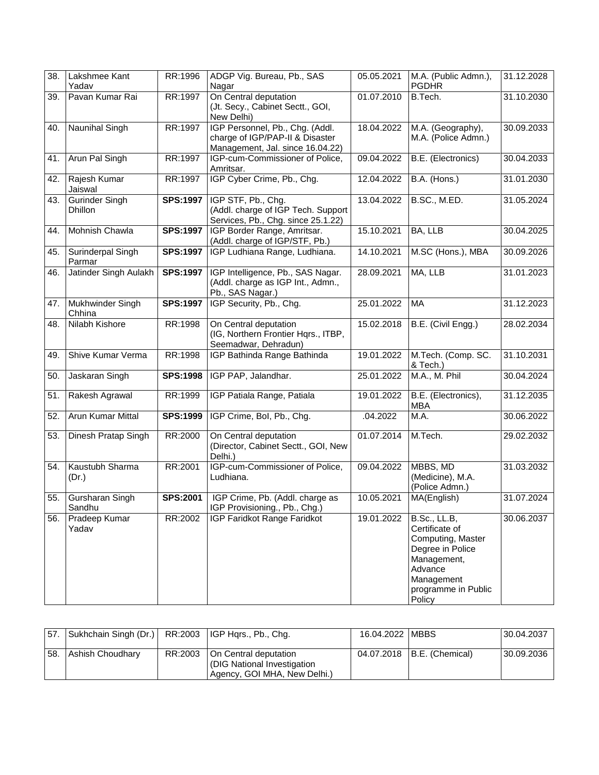| 38. | Lakshmee Kant<br>Yadav           | RR:1996         | ADGP Vig. Bureau, Pb., SAS<br>Nagar                                                                    | 05.05.2021 | M.A. (Public Admn.),<br><b>PGDHR</b>                                                                                                                    | 31.12.2028 |
|-----|----------------------------------|-----------------|--------------------------------------------------------------------------------------------------------|------------|---------------------------------------------------------------------------------------------------------------------------------------------------------|------------|
| 39. | Pavan Kumar Rai                  | RR:1997         | On Central deputation<br>(Jt. Secy., Cabinet Sectt., GOI,<br>New Delhi)                                | 01.07.2010 | B.Tech.                                                                                                                                                 | 31.10.2030 |
| 40. | Naunihal Singh                   | RR:1997         | IGP Personnel, Pb., Chg. (Addl.<br>charge of IGP/PAP-II & Disaster<br>Management, Jal. since 16.04.22) | 18.04.2022 | M.A. (Geography),<br>M.A. (Police Admn.)                                                                                                                | 30.09.2033 |
| 41. | Arun Pal Singh                   | RR:1997         | IGP-cum-Commissioner of Police,<br>Amritsar.                                                           | 09.04.2022 | B.E. (Electronics)                                                                                                                                      | 30.04.2033 |
| 42. | Rajesh Kumar<br>Jaiswal          | RR:1997         | IGP Cyber Crime, Pb., Chg.                                                                             | 12.04.2022 | B.A. (Hons.)                                                                                                                                            | 31.01.2030 |
| 43. | Gurinder Singh<br><b>Dhillon</b> | <b>SPS:1997</b> | IGP STF, Pb., Chg.<br>(Addl. charge of IGP Tech. Support<br>Services, Pb., Chg. since 25.1.22)         | 13.04.2022 | B.SC., M.ED.                                                                                                                                            | 31.05.2024 |
| 44. | Mohnish Chawla                   | <b>SPS:1997</b> | IGP Border Range, Amritsar.<br>(Addl. charge of IGP/STF, Pb.)                                          | 15.10.2021 | BA, LLB                                                                                                                                                 | 30.04.2025 |
| 45. | Surinderpal Singh<br>Parmar      | <b>SPS:1997</b> | IGP Ludhiana Range, Ludhiana.                                                                          | 14.10.2021 | M.SC (Hons.), MBA                                                                                                                                       | 30.09.2026 |
| 46. | Jatinder Singh Aulakh            | <b>SPS:1997</b> | IGP Intelligence, Pb., SAS Nagar.<br>(Addl. charge as IGP Int., Admn.,<br>Pb., SAS Nagar.)             | 28.09.2021 | MA, LLB                                                                                                                                                 | 31.01.2023 |
| 47. | Mukhwinder Singh<br>Chhina       | <b>SPS:1997</b> | IGP Security, Pb., Chg.                                                                                | 25.01.2022 | <b>MA</b>                                                                                                                                               | 31.12.2023 |
| 48. | Nilabh Kishore                   | RR:1998         | On Central deputation<br>(IG, Northern Frontier Hqrs., ITBP,<br>Seemadwar, Dehradun)                   | 15.02.2018 | B.E. (Civil Engg.)                                                                                                                                      | 28.02.2034 |
| 49. | Shive Kumar Verma                | RR:1998         | IGP Bathinda Range Bathinda                                                                            | 19.01.2022 | M.Tech. (Comp. SC.<br>& Tech.)                                                                                                                          | 31.10.2031 |
| 50. | Jaskaran Singh                   | <b>SPS:1998</b> | IGP PAP, Jalandhar.                                                                                    | 25.01.2022 | M.A., M. Phil                                                                                                                                           | 30.04.2024 |
| 51. | Rakesh Agrawal                   | RR:1999         | IGP Patiala Range, Patiala                                                                             | 19.01.2022 | B.E. (Electronics),<br>MBA                                                                                                                              | 31.12.2035 |
| 52. | Arun Kumar Mittal                | <b>SPS:1999</b> | IGP Crime, Bol, Pb., Chg.                                                                              | .04.2022   | M.A.                                                                                                                                                    | 30.06.2022 |
| 53. | Dinesh Pratap Singh              | RR:2000         | On Central deputation<br>(Director, Cabinet Sectt., GOI, New<br>Delhi.)                                | 01.07.2014 | M.Tech.                                                                                                                                                 | 29.02.2032 |
| 54. | Kaustubh Sharma<br>(Dr.)         | RR:2001         | IGP-cum-Commissioner of Police,<br>Ludhiana.                                                           | 09.04.2022 | MBBS, MD<br>(Medicine), M.A.<br>(Police Admn.)                                                                                                          | 31.03.2032 |
| 55. | Gursharan Singh<br>Sandhu        | <b>SPS:2001</b> | IGP Crime, Pb. (Addl. charge as<br>IGP Provisioning., Pb., Chg.)                                       | 10.05.2021 | MA(English)                                                                                                                                             | 31.07.2024 |
| 56. | Pradeep Kumar<br>Yadav           | RR:2002         | IGP Faridkot Range Faridkot                                                                            | 19.01.2022 | <b>B.Sc., LL.B,</b><br>Certificate of<br>Computing, Master<br>Degree in Police<br>Management,<br>Advance<br>Management<br>programme in Public<br>Policy | 30.06.2037 |

| 57. Sukhchain Singh (Dr.) RR:2003 IGP Hqrs., Pb., Chg. |         |                                                                                     | 16.04.2022   MBBS |                              | 30.04.2037 |
|--------------------------------------------------------|---------|-------------------------------------------------------------------------------------|-------------------|------------------------------|------------|
| 58. Ashish Choudhary                                   | RR:2003 | On Central deputation<br>OIG National Investigation<br>Agency, GOI MHA, New Delhi.) |                   | 04.07.2018   B.E. (Chemical) | 30.09.2036 |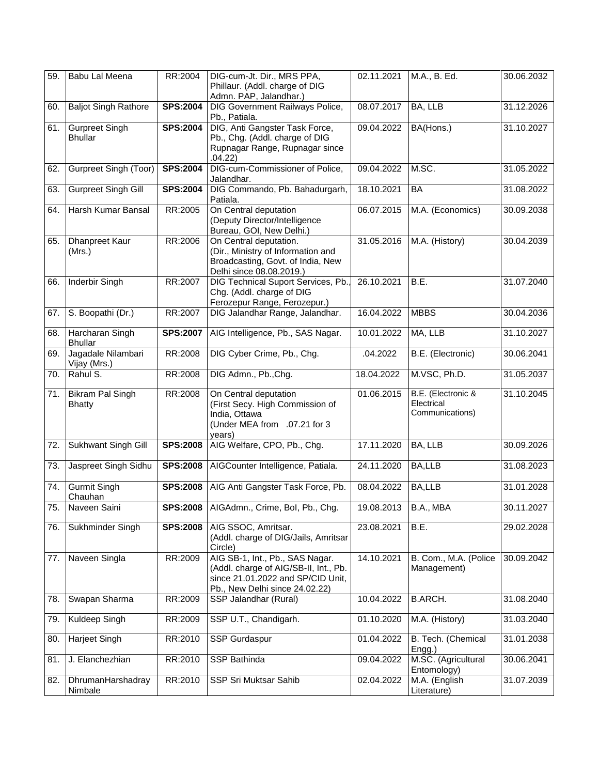| 59. | Babu Lal Meena                          | RR:2004         | DIG-cum-Jt. Dir., MRS PPA,<br>Phillaur. (Addl. charge of DIG<br>Admn. PAP, Jalandhar.)                                                          | 02.11.2021 | M.A., B. Ed.                                        | 30.06.2032 |
|-----|-----------------------------------------|-----------------|-------------------------------------------------------------------------------------------------------------------------------------------------|------------|-----------------------------------------------------|------------|
| 60. | <b>Baljot Singh Rathore</b>             | <b>SPS:2004</b> | DIG Government Railways Police,<br>Pb., Patiala.                                                                                                | 08.07.2017 | BA, LLB                                             | 31.12.2026 |
| 61. | <b>Gurpreet Singh</b><br><b>Bhullar</b> | <b>SPS:2004</b> | DIG, Anti Gangster Task Force,<br>Pb., Chg. (Addl. charge of DIG<br>Rupnagar Range, Rupnagar since<br>.04.22)                                   | 09.04.2022 | BA(Hons.)                                           | 31.10.2027 |
| 62. | <b>Gurpreet Singh (Toor)</b>            | <b>SPS:2004</b> | DIG-cum-Commissioner of Police,<br>Jalandhar.                                                                                                   | 09.04.2022 | M.SC.                                               | 31.05.2022 |
| 63. | <b>Gurpreet Singh Gill</b>              | <b>SPS:2004</b> | DIG Commando, Pb. Bahadurgarh,<br>Patiala.                                                                                                      | 18.10.2021 | <b>BA</b>                                           | 31.08.2022 |
| 64. | Harsh Kumar Bansal                      | RR:2005         | On Central deputation<br>(Deputy Director/Intelligence<br>Bureau, GOI, New Delhi.)                                                              | 06.07.2015 | M.A. (Economics)                                    | 30.09.2038 |
| 65. | Dhanpreet Kaur<br>(Mrs.)                | RR:2006         | On Central deputation.<br>(Dir., Ministry of Information and<br>Broadcasting, Govt. of India, New<br>Delhi since 08.08.2019.)                   | 31.05.2016 | M.A. (History)                                      | 30.04.2039 |
| 66. | Inderbir Singh                          | RR:2007         | DIG Technical Suport Services, Pb.,<br>Chg. (Addl. charge of DIG<br>Ferozepur Range, Ferozepur.)                                                | 26.10.2021 | B.E.                                                | 31.07.2040 |
| 67. | S. Boopathi (Dr.)                       | RR:2007         | DIG Jalandhar Range, Jalandhar.                                                                                                                 | 16.04.2022 | <b>MBBS</b>                                         | 30.04.2036 |
| 68. | Harcharan Singh<br><b>Bhullar</b>       | SPS:2007        | AIG Intelligence, Pb., SAS Nagar.                                                                                                               | 10.01.2022 | MA, LLB                                             | 31.10.2027 |
| 69. | Jagadale Nilambari<br>Vijay (Mrs.)      | RR:2008         | DIG Cyber Crime, Pb., Chg.                                                                                                                      | .04.2022   | B.E. (Electronic)                                   | 30.06.2041 |
| 70. | Rahul $\overline{S}$ .                  | RR:2008         | DIG Admn., Pb., Chg.                                                                                                                            | 18.04.2022 | M.VSC, Ph.D.                                        | 31.05.2037 |
| 71. | Bikram Pal Singh<br><b>Bhatty</b>       | RR:2008         | On Central deputation<br>(First Secy. High Commission of<br>India, Ottawa<br>(Under MEA from .07.21 for 3<br>years)                             | 01.06.2015 | B.E. (Electronic &<br>Electrical<br>Communications) | 31.10.2045 |
| 72. | Sukhwant Singh Gill                     | <b>SPS:2008</b> | AIG Welfare, CPO, Pb., Chg.                                                                                                                     | 17.11.2020 | BA, LLB                                             | 30.09.2026 |
| 73. | Jaspreet Singh Sidhu                    | <b>SPS:2008</b> | AIGCounter Intelligence, Patiala.                                                                                                               | 24.11.2020 | BA,LLB                                              | 31.08.2023 |
| 74. | <b>Gurmit Singh</b><br>Chauhan          | <b>SPS:2008</b> | AIG Anti Gangster Task Force, Pb.                                                                                                               | 08.04.2022 | BA,LLB                                              | 31.01.2028 |
| 75. | Naveen Saini                            |                 | SPS:2008   AIGAdmn., Crime, Bol, Pb., Chg.                                                                                                      | 19.08.2013 | B.A., MBA                                           | 30.11.2027 |
| 76. | Sukhminder Singh                        |                 | SPS:2008   AIG SSOC, Amritsar.<br>(Addl. charge of DIG/Jails, Amritsar<br>Circle)                                                               | 23.08.2021 | B.E.                                                | 29.02.2028 |
| 77. | Naveen Singla                           | RR:2009         | AIG SB-1, Int., Pb., SAS Nagar.<br>(Addl. charge of AIG/SB-II, Int., Pb.<br>since 21.01.2022 and SP/CID Unit,<br>Pb., New Delhi since 24.02.22) | 14.10.2021 | B. Com., M.A. (Police<br>Management)                | 30.09.2042 |
| 78. | Swapan Sharma                           | RR:2009         | SSP Jalandhar (Rural)                                                                                                                           | 10.04.2022 | <b>B.ARCH.</b>                                      | 31.08.2040 |
| 79. | Kuldeep Singh                           | RR:2009         | SSP U.T., Chandigarh.                                                                                                                           | 01.10.2020 | M.A. (History)                                      | 31.03.2040 |
| 80. | Harjeet Singh                           | RR:2010         | SSP Gurdaspur                                                                                                                                   | 01.04.2022 | B. Tech. (Chemical<br>Engg.)                        | 31.01.2038 |
| 81. | J. Elanchezhian                         | RR:2010         | SSP Bathinda                                                                                                                                    | 09.04.2022 | M.SC. (Agricultural<br>Entomology)                  | 30.06.2041 |
| 82. | DhrumanHarshadray<br>Nimbale            | RR:2010         | SSP Sri Muktsar Sahib                                                                                                                           | 02.04.2022 | M.A. (English<br>Literature)                        | 31.07.2039 |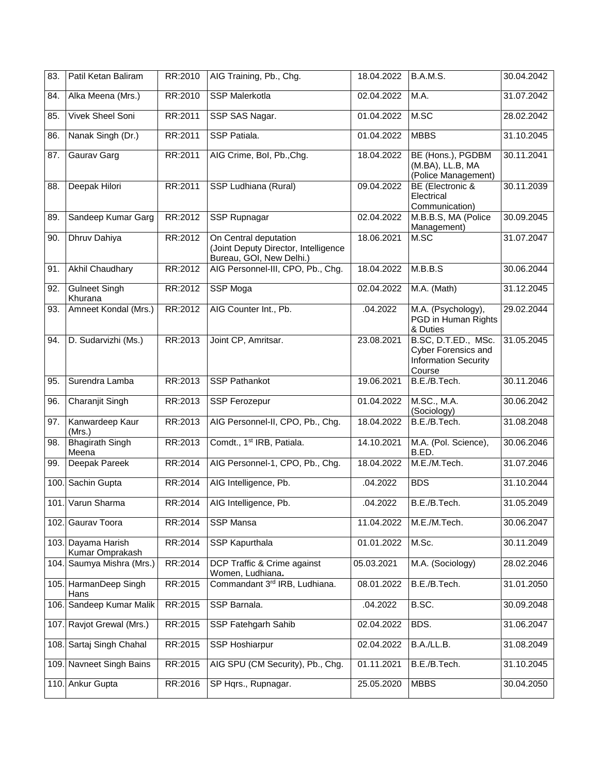| 83.  | Patil Ketan Baliram              | RR:2010 | AIG Training, Pb., Chg.                                                                   | 18.04.2022 | <b>B.A.M.S.</b>                                                                     | 30.04.2042 |
|------|----------------------------------|---------|-------------------------------------------------------------------------------------------|------------|-------------------------------------------------------------------------------------|------------|
| 84.  | Alka Meena (Mrs.)                | RR:2010 | <b>SSP Malerkotla</b>                                                                     | 02.04.2022 | M.A.                                                                                | 31.07.2042 |
| 85.  | <b>Vivek Sheel Soni</b>          | RR:2011 | SSP SAS Nagar.                                                                            | 01.04.2022 | M.SC                                                                                | 28.02.2042 |
| 86.  | Nanak Singh (Dr.)                | RR:2011 | SSP Patiala.                                                                              | 01.04.2022 | <b>MBBS</b>                                                                         | 31.10.2045 |
| 87.  | Gaurav Garg                      | RR:2011 | AIG Crime, Bol, Pb., Chg.                                                                 | 18.04.2022 | BE (Hons.), PGDBM<br>(M.BA), LL.B, MA<br>(Police Management)                        | 30.11.2041 |
| 88.  | Deepak Hilori                    | RR:2011 | SSP Ludhiana (Rural)                                                                      | 09.04.2022 | BE (Electronic &<br>Electrical<br>Communication)                                    | 30.11.2039 |
| 89.  | Sandeep Kumar Garg               | RR:2012 | SSP Rupnagar                                                                              | 02.04.2022 | M.B.B.S, MA (Police<br>Management)                                                  | 30.09.2045 |
| 90.  | Dhruv Dahiya                     | RR:2012 | On Central deputation<br>(Joint Deputy Director, Intelligence<br>Bureau, GOI, New Delhi.) | 18.06.2021 | M.SC                                                                                | 31.07.2047 |
| 91.  | <b>Akhil Chaudhary</b>           | RR:2012 | AIG Personnel-III, CPO, Pb., Chg.                                                         | 18.04.2022 | M.B.B.S                                                                             | 30.06.2044 |
| 92.  | <b>Gulneet Singh</b><br>Khurana  | RR:2012 | <b>SSP Moga</b>                                                                           | 02.04.2022 | M.A. (Math)                                                                         | 31.12.2045 |
| 93.  | Amneet Kondal (Mrs.)             | RR:2012 | AIG Counter Int., Pb.                                                                     | .04.2022   | M.A. (Psychology),<br>PGD in Human Rights<br>& Duties                               | 29.02.2044 |
| 94.  | D. Sudarvizhi (Ms.)              | RR:2013 | Joint CP, Amritsar.                                                                       | 23.08.2021 | B.SC, D.T.ED., MSc.<br><b>Cyber Forensics and</b><br>Information Security<br>Course | 31.05.2045 |
| 95.  | Surendra Lamba                   | RR:2013 | <b>SSP Pathankot</b>                                                                      | 19.06.2021 | B.E./B.Tech.                                                                        | 30.11.2046 |
| 96.  | Charanjit Singh                  | RR:2013 | <b>SSP Ferozepur</b>                                                                      | 01.04.2022 | M.SC., M.A.<br>(Sociology)                                                          | 30.06.2042 |
| 97.  | Kanwardeep Kaur<br>(Mrs.)        | RR:2013 | AIG Personnel-II, CPO, Pb., Chg.                                                          | 18.04.2022 | B.E./B.Tech.                                                                        | 31.08.2048 |
| 98.  | <b>Bhagirath Singh</b><br>Meena  | RR:2013 | Comdt., 1 <sup>st</sup> IRB, Patiala.                                                     | 14.10.2021 | M.A. (Pol. Science),<br>B.ED.                                                       | 30.06.2046 |
| 99.  | Deepak Pareek                    | RR:2014 | AIG Personnel-1, CPO, Pb., Chg.                                                           | 18.04.2022 | M.E./M.Tech.                                                                        | 31.07.2046 |
|      | 100. Sachin Gupta                | RR:2014 | AIG Intelligence, Pb.                                                                     | .04.2022   | <b>BDS</b>                                                                          | 31.10.2044 |
|      | 101. Varun Sharma                | RR:2014 | AIG Intelligence, Pb.                                                                     | .04.2022   | B.E./B.Tech.                                                                        | 31.05.2049 |
| 102. | Gaurav Toora                     | RR:2014 | <b>SSP Mansa</b>                                                                          | 11.04.2022 | M.E./M.Tech.                                                                        | 30.06.2047 |
| 103. | Dayama Harish<br>Kumar Omprakash | RR:2014 | SSP Kapurthala                                                                            | 01.01.2022 | M.Sc.                                                                               | 30.11.2049 |
|      | 104. Saumya Mishra (Mrs.)        | RR:2014 | DCP Traffic & Crime against<br>Women, Ludhiana.                                           | 05.03.2021 | M.A. (Sociology)                                                                    | 28.02.2046 |
| 105. | HarmanDeep Singh<br>Hans         | RR:2015 | Commandant 3rd IRB, Ludhiana.                                                             | 08.01.2022 | B.E./B.Tech.                                                                        | 31.01.2050 |
| 106. | Sandeep Kumar Malik              | RR:2015 | SSP Barnala.                                                                              | .04.2022   | B.SC.                                                                               | 30.09.2048 |
| 107. | Ravjot Grewal (Mrs.)             | RR:2015 | SSP Fatehgarh Sahib                                                                       | 02.04.2022 | BDS.                                                                                | 31.06.2047 |
| 108. | Sartaj Singh Chahal              | RR:2015 | SSP Hoshiarpur                                                                            | 02.04.2022 | B.A./LL.B.                                                                          | 31.08.2049 |
| 109. | Navneet Singh Bains              | RR:2015 | AIG SPU (CM Security), Pb., Chg.                                                          | 01.11.2021 | B.E./B.Tech.                                                                        | 31.10.2045 |
| 110. | Ankur Gupta                      | RR:2016 | SP Hqrs., Rupnagar.                                                                       | 25.05.2020 | <b>MBBS</b>                                                                         | 30.04.2050 |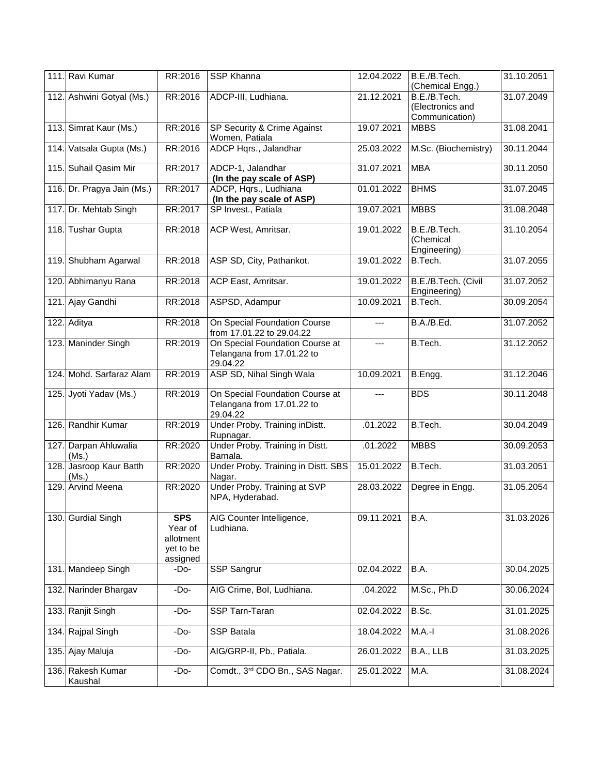|      | 111. Ravi Kumar                  | RR:2016                                                     | <b>SSP Khanna</b>                                                         | 12.04.2022 | B.E./B.Tech.<br>(Chemical Engg.)                   | 31.10.2051 |
|------|----------------------------------|-------------------------------------------------------------|---------------------------------------------------------------------------|------------|----------------------------------------------------|------------|
|      | 112. Ashwini Gotyal (Ms.)        | RR:2016                                                     | ADCP-III, Ludhiana.                                                       | 21.12.2021 | B.E./B.Tech.<br>(Electronics and<br>Communication) | 31.07.2049 |
|      | 113. Simrat Kaur (Ms.)           | RR:2016                                                     | SP Security & Crime Against<br>Women, Patiala                             | 19.07.2021 | <b>MBBS</b>                                        | 31.08.2041 |
| 114. | Vatsala Gupta (Ms.)              | RR:2016                                                     | ADCP Hqrs., Jalandhar                                                     | 25.03.2022 | M.Sc. (Biochemistry)                               | 30.11.2044 |
|      | 115. Suhail Qasim Mir            | RR:2017                                                     | ADCP-1, Jalandhar<br>(In the pay scale of ASP)                            | 31.07.2021 | <b>MBA</b>                                         | 30.11.2050 |
|      | 116. Dr. Pragya Jain (Ms.)       | RR:2017                                                     | ADCP, Hqrs., Ludhiana<br>(In the pay scale of ASP)                        | 01.01.2022 | <b>BHMS</b>                                        | 31.07.2045 |
|      | 117. Dr. Mehtab Singh            | RR:2017                                                     | SP Invest., Patiala                                                       | 19.07.2021 | <b>MBBS</b>                                        | 31.08.2048 |
|      | 118. Tushar Gupta                | RR:2018                                                     | ACP West, Amritsar.                                                       | 19.01.2022 | B.E./B.Tech.<br>(Chemical<br>Engineering)          | 31.10.2054 |
|      | 119. Shubham Agarwal             | RR:2018                                                     | ASP SD, City, Pathankot.                                                  | 19.01.2022 | B.Tech.                                            | 31.07.2055 |
|      | 120. Abhimanyu Rana              | RR:2018                                                     | ACP East, Amritsar.                                                       | 19.01.2022 | B.E./B.Tech. (Civil<br>Engineering)                | 31.07.2052 |
|      | 121. Ajay Gandhi                 | RR:2018                                                     | ASPSD, Adampur                                                            | 10.09.2021 | B.Tech.                                            | 30.09.2054 |
|      | 122. Aditya                      | RR:2018                                                     | On Special Foundation Course<br>from 17.01.22 to 29.04.22                 | ---        | B.A./B.Ed.                                         | 31.07.2052 |
|      | 123. Maninder Singh              | RR:2019                                                     | On Special Foundation Course at<br>Telangana from 17.01.22 to<br>29.04.22 | $---$      | B.Tech.                                            | 31.12.2052 |
|      | 124. Mohd. Sarfaraz Alam         | RR:2019                                                     | ASP SD, Nihal Singh Wala                                                  | 10.09.2021 | B.Engg.                                            | 31.12.2046 |
|      | 125. Jyoti Yadav (Ms.)           | RR:2019                                                     | On Special Foundation Course at<br>Telangana from 17.01.22 to<br>29.04.22 | ---        | <b>BDS</b>                                         | 30.11.2048 |
|      | 126. Randhir Kumar               | RR:2019                                                     | Under Proby. Training in Distt.<br>Rupnagar.                              | .01.2022   | B.Tech.                                            | 30.04.2049 |
|      | 127. Darpan Ahluwalia<br>(Ms.)   | RR:2020                                                     | Under Proby. Training in Distt.<br>Barnala.                               | .01.2022   | <b>MBBS</b>                                        | 30.09.2053 |
|      | 128. Jasroop Kaur Batth<br>(Ms.) | RR:2020                                                     | Under Proby. Training in Distt. SBS<br>Nagar.                             | 15.01.2022 | B.Tech.                                            | 31.03.2051 |
|      | 129. Arvind Meena                | RR:2020                                                     | Under Proby. Training at SVP<br>NPA, Hyderabad.                           | 28.03.2022 | Degree in Engg.                                    | 31.05.2054 |
|      | 130. Gurdial Singh               | <b>SPS</b><br>Year of<br>allotment<br>yet to be<br>assigned | AIG Counter Intelligence,<br>Ludhiana.                                    | 09.11.2021 | B.A.                                               | 31.03.2026 |
|      | 131. Mandeep Singh               | $-Do-$                                                      | SSP Sangrur                                                               | 02.04.2022 | B.A.                                               | 30.04.2025 |
|      | 132. Narinder Bhargav            | $-DO$                                                       | AIG Crime, Bol, Ludhiana.                                                 | .04.2022   | M.Sc., Ph.D                                        | 30.06.2024 |
| 133. | Ranjit Singh                     | $-Do-$                                                      | SSP Tarn-Taran                                                            | 02.04.2022 | B.Sc.                                              | 31.01.2025 |
| 134. | Rajpal Singh                     | $-Do-$                                                      | <b>SSP Batala</b>                                                         | 18.04.2022 | $M.A.-I$                                           | 31.08.2026 |
|      | 135. Ajay Maluja                 | $-Do-$                                                      | AIG/GRP-II, Pb., Patiala.                                                 | 26.01.2022 | B.A., LLB                                          | 31.03.2025 |
|      | 136. Rakesh Kumar<br>Kaushal     | -Do-                                                        | Comdt., 3rd CDO Bn., SAS Nagar.                                           | 25.01.2022 | M.A.                                               | 31.08.2024 |